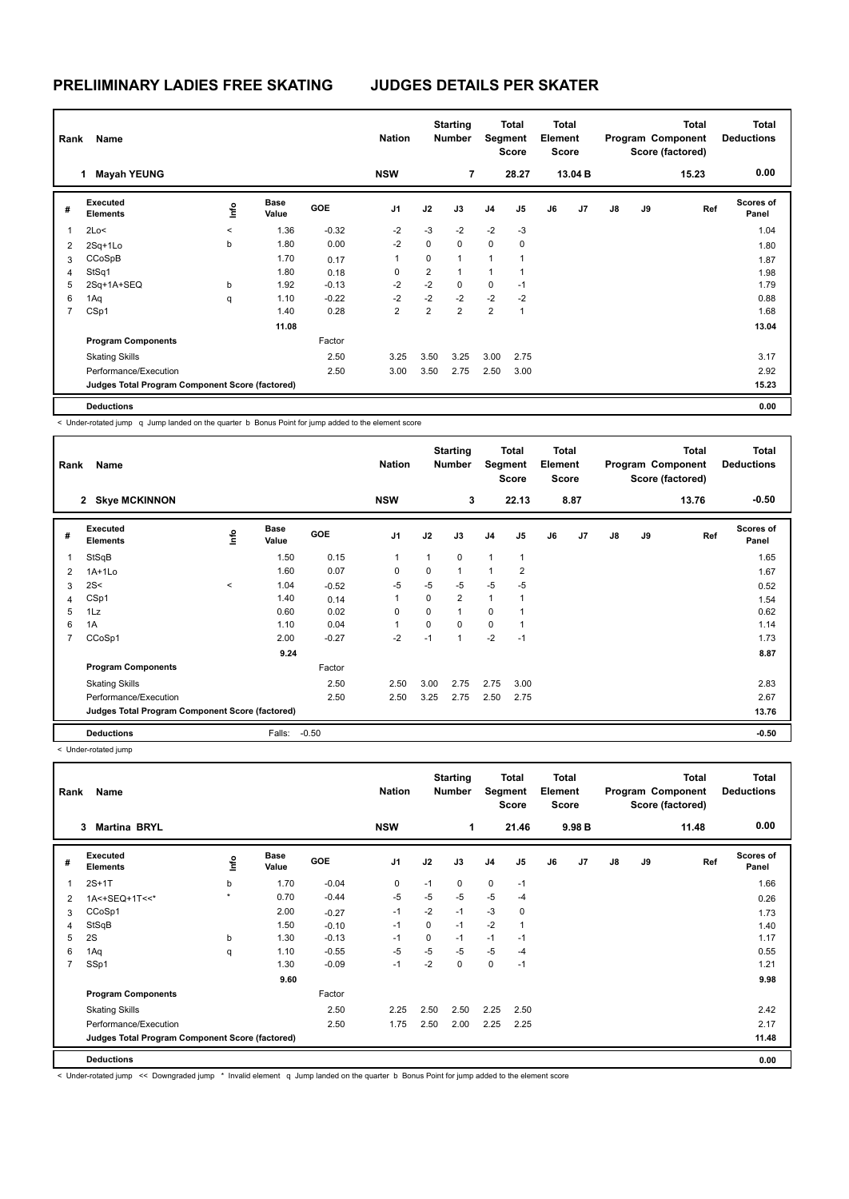|                | Name<br>Rank<br><b>Mayah YEUNG</b><br>1         |         |                      |            | <b>Nation</b>  |          | <b>Starting</b><br><b>Number</b> | Segment        | <b>Total</b><br><b>Score</b> | <b>Total</b><br>Element<br><b>Score</b> |         |               |    | Total<br>Program Component<br>Score (factored) | <b>Total</b><br><b>Deductions</b> |
|----------------|-------------------------------------------------|---------|----------------------|------------|----------------|----------|----------------------------------|----------------|------------------------------|-----------------------------------------|---------|---------------|----|------------------------------------------------|-----------------------------------|
|                |                                                 |         |                      |            | <b>NSW</b>     |          | 7                                |                | 28.27                        |                                         | 13.04 B |               |    | 15.23                                          | 0.00                              |
| #              | <b>Executed</b><br><b>Elements</b>              | ١nfo    | <b>Base</b><br>Value | <b>GOE</b> | J <sub>1</sub> | J2       | J3                               | J <sub>4</sub> | J5                           | J6                                      | J7      | $\mathsf{J}8$ | J9 | Ref                                            | Scores of<br>Panel                |
| $\mathbf{1}$   | 2Lo<                                            | $\,<\,$ | 1.36                 | $-0.32$    | $-2$           | $-3$     | $-2$                             | $-2$           | $-3$                         |                                         |         |               |    |                                                | 1.04                              |
| 2              | 2Sq+1Lo                                         | b       | 1.80                 | 0.00       | $-2$           | 0        | $\Omega$                         | 0              | 0                            |                                         |         |               |    |                                                | 1.80                              |
| 3              | CCoSpB                                          |         | 1.70                 | 0.17       | 1              | $\Omega$ | $\mathbf{1}$                     | 1              | 1                            |                                         |         |               |    |                                                | 1.87                              |
| 4              | StSq1                                           |         | 1.80                 | 0.18       | 0              | 2        | $\mathbf{1}$                     | 1              | 1                            |                                         |         |               |    |                                                | 1.98                              |
| 5              | 2Sq+1A+SEQ                                      | b       | 1.92                 | $-0.13$    | $-2$           | $-2$     | $\mathbf 0$                      | 0              | $-1$                         |                                         |         |               |    |                                                | 1.79                              |
| 6              | 1Aq                                             | q       | 1.10                 | $-0.22$    | $-2$           | $-2$     | $-2$                             | $-2$           | $-2$                         |                                         |         |               |    |                                                | 0.88                              |
| $\overline{7}$ | CSp1                                            |         | 1.40                 | 0.28       | $\overline{2}$ | 2        | $\overline{2}$                   | $\overline{2}$ | $\mathbf{1}$                 |                                         |         |               |    |                                                | 1.68                              |
|                |                                                 |         | 11.08                |            |                |          |                                  |                |                              |                                         |         |               |    |                                                | 13.04                             |
|                | <b>Program Components</b>                       |         |                      | Factor     |                |          |                                  |                |                              |                                         |         |               |    |                                                |                                   |
|                | <b>Skating Skills</b>                           |         |                      | 2.50       | 3.25           | 3.50     | 3.25                             | 3.00           | 2.75                         |                                         |         |               |    |                                                | 3.17                              |
|                | Performance/Execution                           |         |                      | 2.50       | 3.00           | 3.50     | 2.75                             | 2.50           | 3.00                         |                                         |         |               |    |                                                | 2.92                              |
|                | Judges Total Program Component Score (factored) |         |                      |            |                |          |                                  |                |                              |                                         |         |               |    |                                                | 15.23                             |
|                | <b>Deductions</b>                               |         |                      |            |                |          |                                  |                |                              |                                         |         |               |    |                                                | 0.00                              |

< Under-rotated jump q Jump landed on the quarter b Bonus Point for jump added to the element score

| Rank           | Name                                            |       |                      |            | <b>Nation</b>  |          | <b>Starting</b><br><b>Number</b> | Segment        | Total<br><b>Score</b> | Total<br>Element<br><b>Score</b> |      |               |    | <b>Total</b><br>Program Component<br>Score (factored) | <b>Total</b><br><b>Deductions</b> |
|----------------|-------------------------------------------------|-------|----------------------|------------|----------------|----------|----------------------------------|----------------|-----------------------|----------------------------------|------|---------------|----|-------------------------------------------------------|-----------------------------------|
|                | 2 Skye MCKINNON                                 |       |                      |            | <b>NSW</b>     |          | 3                                |                | 22.13                 |                                  | 8.87 |               |    | 13.76                                                 | $-0.50$                           |
| #              | Executed<br><b>Elements</b>                     | 을     | <b>Base</b><br>Value | <b>GOE</b> | J <sub>1</sub> | J2       | J3                               | J <sub>4</sub> | J5                    | J6                               | J7   | $\mathsf{J}8$ | J9 | Ref                                                   | Scores of<br>Panel                |
|                | StSqB                                           |       | 1.50                 | 0.15       | 1              | 1        | $\mathbf 0$                      | $\mathbf{1}$   | $\mathbf{1}$          |                                  |      |               |    |                                                       | 1.65                              |
| 2              | $1A+1L0$                                        |       | 1.60                 | 0.07       | $\Omega$       | $\Omega$ | $\mathbf{1}$                     | $\mathbf{1}$   | $\overline{2}$        |                                  |      |               |    |                                                       | 1.67                              |
| 3              | 2S<                                             | $\,<$ | 1.04                 | $-0.52$    | $-5$           | $-5$     | $-5$                             | $-5$           | $-5$                  |                                  |      |               |    |                                                       | 0.52                              |
| 4              | CSp1                                            |       | 1.40                 | 0.14       | 1              | $\Omega$ | $\overline{2}$                   | $\mathbf{1}$   | 1                     |                                  |      |               |    |                                                       | 1.54                              |
| 5              | 1Lz                                             |       | 0.60                 | 0.02       | 0              | 0        | $\mathbf{1}$                     | 0              |                       |                                  |      |               |    |                                                       | 0.62                              |
| 6              | 1A                                              |       | 1.10                 | 0.04       | 1              | 0        | $\mathbf 0$                      | $\mathbf 0$    | 1                     |                                  |      |               |    |                                                       | 1.14                              |
| $\overline{7}$ | CCoSp1                                          |       | 2.00                 | $-0.27$    | $-2$           | $-1$     | 1                                | $-2$           | $-1$                  |                                  |      |               |    |                                                       | 1.73                              |
|                |                                                 |       | 9.24                 |            |                |          |                                  |                |                       |                                  |      |               |    |                                                       | 8.87                              |
|                | <b>Program Components</b>                       |       |                      | Factor     |                |          |                                  |                |                       |                                  |      |               |    |                                                       |                                   |
|                | <b>Skating Skills</b>                           |       |                      | 2.50       | 2.50           | 3.00     | 2.75                             | 2.75           | 3.00                  |                                  |      |               |    |                                                       | 2.83                              |
|                | Performance/Execution                           |       |                      | 2.50       | 2.50           | 3.25     | 2.75                             | 2.50           | 2.75                  |                                  |      |               |    |                                                       | 2.67                              |
|                | Judges Total Program Component Score (factored) |       |                      |            |                |          |                                  |                |                       |                                  |      |               |    |                                                       | 13.76                             |
|                | <b>Deductions</b>                               |       | Falls:               | $-0.50$    |                |          |                                  |                |                       |                                  |      |               |    |                                                       | $-0.50$                           |

< Under-rotated jump

|                | Name<br>Rank<br><b>Martina BRYL</b><br>3        |         |                      |            | <b>Nation</b>  |          | <b>Starting</b><br><b>Number</b> | Segment        | Total<br><b>Score</b> | <b>Total</b><br>Element<br>Score |                   |               |    | <b>Total</b><br>Program Component<br>Score (factored) | <b>Total</b><br><b>Deductions</b> |
|----------------|-------------------------------------------------|---------|----------------------|------------|----------------|----------|----------------------------------|----------------|-----------------------|----------------------------------|-------------------|---------------|----|-------------------------------------------------------|-----------------------------------|
|                |                                                 |         |                      |            | <b>NSW</b>     |          | 1                                |                | 21.46                 |                                  | 9.98 <sub>B</sub> |               |    | 11.48                                                 | 0.00                              |
| #              | Executed<br><b>Elements</b>                     | ١nto    | <b>Base</b><br>Value | <b>GOE</b> | J <sub>1</sub> | J2       | J3                               | J <sub>4</sub> | J <sub>5</sub>        | J6                               | J <sub>7</sub>    | $\mathsf{J}8$ | J9 | Ref                                                   | Scores of<br>Panel                |
| 1              | $2S+1T$                                         | b       | 1.70                 | $-0.04$    | 0              | $-1$     | 0                                | $\mathbf 0$    | $-1$                  |                                  |                   |               |    |                                                       | 1.66                              |
| 2              | 1A<+SEQ+1T<<*                                   | $\star$ | 0.70                 | $-0.44$    | $-5$           | $-5$     | $-5$                             | $-5$           | $-4$                  |                                  |                   |               |    |                                                       | 0.26                              |
| 3              | CCoSp1                                          |         | 2.00                 | $-0.27$    | $-1$           | $-2$     | $-1$                             | $-3$           | 0                     |                                  |                   |               |    |                                                       | 1.73                              |
| 4              | StSqB                                           |         | 1.50                 | $-0.10$    | $-1$           | $\Omega$ | $-1$                             | $-2$           | 1                     |                                  |                   |               |    |                                                       | 1.40                              |
| 5              | 2S                                              | b       | 1.30                 | $-0.13$    | $-1$           | 0        | $-1$                             | $-1$           | $-1$                  |                                  |                   |               |    |                                                       | 1.17                              |
| 6              | 1Aq                                             | q       | 1.10                 | $-0.55$    | -5             | -5       | $-5$                             | $-5$           | -4                    |                                  |                   |               |    |                                                       | 0.55                              |
| $\overline{7}$ | SSp1                                            |         | 1.30                 | $-0.09$    | $-1$           | $-2$     | 0                                | $\mathbf 0$    | $-1$                  |                                  |                   |               |    |                                                       | 1.21                              |
|                |                                                 |         | 9.60                 |            |                |          |                                  |                |                       |                                  |                   |               |    |                                                       | 9.98                              |
|                | <b>Program Components</b>                       |         |                      | Factor     |                |          |                                  |                |                       |                                  |                   |               |    |                                                       |                                   |
|                | <b>Skating Skills</b>                           |         |                      | 2.50       | 2.25           | 2.50     | 2.50                             | 2.25           | 2.50                  |                                  |                   |               |    |                                                       | 2.42                              |
|                | Performance/Execution                           |         |                      | 2.50       | 1.75           | 2.50     | 2.00                             | 2.25           | 2.25                  |                                  |                   |               |    |                                                       | 2.17                              |
|                | Judges Total Program Component Score (factored) |         |                      |            |                |          |                                  |                |                       |                                  |                   |               |    |                                                       | 11.48                             |
|                | <b>Deductions</b>                               |         |                      |            |                |          |                                  |                |                       |                                  |                   |               |    |                                                       | 0.00                              |

< Under-rotated jump << Downgraded jump \* Invalid element q Jump landed on the quarter b Bonus Point for jump added to the element score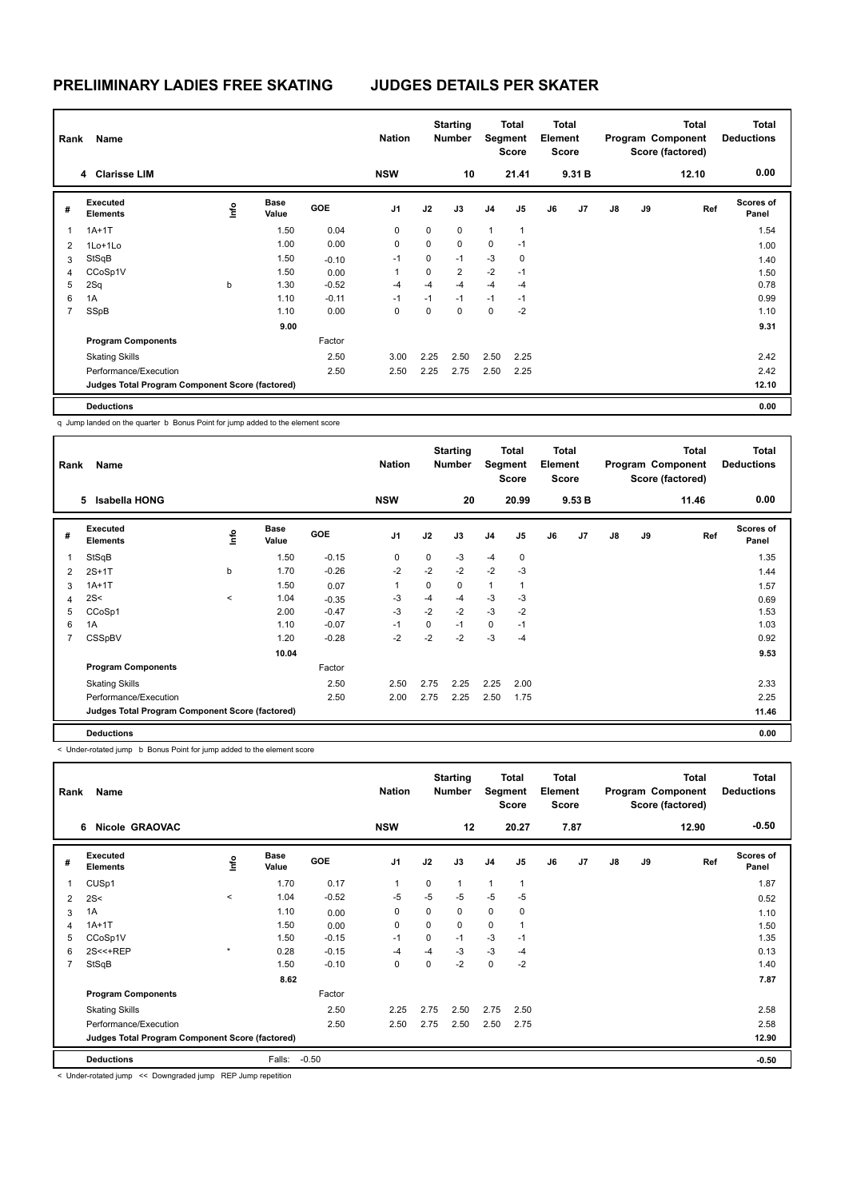| Rank           | Name                                            |      |                      |         | <b>Nation</b>  |      | <b>Starting</b><br><b>Number</b> |                | <b>Total</b><br>Segment<br><b>Score</b> | <b>Total</b><br>Element<br><b>Score</b> |        |    |    | <b>Total</b><br>Program Component<br>Score (factored) | <b>Total</b><br><b>Deductions</b> |
|----------------|-------------------------------------------------|------|----------------------|---------|----------------|------|----------------------------------|----------------|-----------------------------------------|-----------------------------------------|--------|----|----|-------------------------------------------------------|-----------------------------------|
|                | 4 Clarisse LIM                                  |      |                      |         | <b>NSW</b>     |      | 10                               |                | 21.41                                   |                                         | 9.31 B |    |    | 12.10                                                 | 0.00                              |
| #              | Executed<br><b>Elements</b>                     | lnfo | <b>Base</b><br>Value | GOE     | J <sub>1</sub> | J2   | J3                               | J <sub>4</sub> | J <sub>5</sub>                          | J6                                      | J7     | J8 | J9 | Ref                                                   | <b>Scores of</b><br>Panel         |
|                | $1A+1T$                                         |      | 1.50                 | 0.04    | 0              | 0    | $\mathbf 0$                      | $\mathbf{1}$   | $\overline{1}$                          |                                         |        |    |    |                                                       | 1.54                              |
| $\overline{2}$ | $1$ Lo $+1$ Lo                                  |      | 1.00                 | 0.00    | 0              | 0    | $\mathbf 0$                      | 0              | $-1$                                    |                                         |        |    |    |                                                       | 1.00                              |
| 3              | StSqB                                           |      | 1.50                 | $-0.10$ | $-1$           | 0    | $-1$                             | $-3$           | $\mathbf 0$                             |                                         |        |    |    |                                                       | 1.40                              |
| 4              | CCoSp1V                                         |      | 1.50                 | 0.00    | 1              | 0    | $\overline{2}$                   | $-2$           | $-1$                                    |                                         |        |    |    |                                                       | 1.50                              |
| 5              | 2Sq                                             | b    | 1.30                 | $-0.52$ | $-4$           | $-4$ | $-4$                             | $-4$           | $-4$                                    |                                         |        |    |    |                                                       | 0.78                              |
| 6              | 1A                                              |      | 1.10                 | $-0.11$ | $-1$           | $-1$ | $-1$                             | $-1$           | $-1$                                    |                                         |        |    |    |                                                       | 0.99                              |
| $\overline{7}$ | SSpB                                            |      | 1.10                 | 0.00    | 0              | 0    | $\mathbf 0$                      | 0              | $-2$                                    |                                         |        |    |    |                                                       | 1.10                              |
|                |                                                 |      | 9.00                 |         |                |      |                                  |                |                                         |                                         |        |    |    |                                                       | 9.31                              |
|                | <b>Program Components</b>                       |      |                      | Factor  |                |      |                                  |                |                                         |                                         |        |    |    |                                                       |                                   |
|                | <b>Skating Skills</b>                           |      |                      | 2.50    | 3.00           | 2.25 | 2.50                             | 2.50           | 2.25                                    |                                         |        |    |    |                                                       | 2.42                              |
|                | Performance/Execution                           |      |                      | 2.50    | 2.50           | 2.25 | 2.75                             | 2.50           | 2.25                                    |                                         |        |    |    |                                                       | 2.42                              |
|                | Judges Total Program Component Score (factored) |      |                      |         |                |      |                                  |                |                                         |                                         |        |    |    |                                                       | 12.10                             |
|                | <b>Deductions</b>                               |      |                      |         |                |      |                                  |                |                                         |                                         |        |    |    |                                                       | 0.00                              |

q Jump landed on the quarter b Bonus Point for jump added to the element score

|   | Name<br>Rank<br>Isabella HONG<br>5              |         |                      |            | <b>Nation</b>  |      | <b>Starting</b><br><b>Number</b> | Segment        | <b>Total</b><br>Score | Total<br>Element<br><b>Score</b> |        |    |    | Total<br>Program Component<br>Score (factored) | <b>Total</b><br><b>Deductions</b> |
|---|-------------------------------------------------|---------|----------------------|------------|----------------|------|----------------------------------|----------------|-----------------------|----------------------------------|--------|----|----|------------------------------------------------|-----------------------------------|
|   |                                                 |         |                      |            | <b>NSW</b>     |      | 20                               |                | 20.99                 |                                  | 9.53 B |    |    | 11.46                                          | 0.00                              |
| # | Executed<br><b>Elements</b>                     | lnfo    | <b>Base</b><br>Value | <b>GOE</b> | J <sub>1</sub> | J2   | J3                               | J <sub>4</sub> | J <sub>5</sub>        | J6                               | J7     | J8 | J9 | Ref                                            | <b>Scores of</b><br>Panel         |
|   | StSqB                                           |         | 1.50                 | $-0.15$    | $\mathbf 0$    | 0    | -3                               | $-4$           | $\mathbf 0$           |                                  |        |    |    |                                                | 1.35                              |
| 2 | $2S+1T$                                         | b       | 1.70                 | $-0.26$    | $-2$           | $-2$ | $-2$                             | $-2$           | $-3$                  |                                  |        |    |    |                                                | 1.44                              |
| 3 | $1A+1T$                                         |         | 1.50                 | 0.07       | 1              | 0    | $\mathbf 0$                      | $\mathbf{1}$   | 1                     |                                  |        |    |    |                                                | 1.57                              |
| 4 | 2S<                                             | $\prec$ | 1.04                 | $-0.35$    | -3             | -4   | $-4$                             | $-3$           | $-3$                  |                                  |        |    |    |                                                | 0.69                              |
| 5 | CCoSp1                                          |         | 2.00                 | $-0.47$    | $-3$           | $-2$ | $-2$                             | $-3$           | $-2$                  |                                  |        |    |    |                                                | 1.53                              |
| 6 | 1A                                              |         | 1.10                 | $-0.07$    | $-1$           | 0    | $-1$                             | $\mathbf 0$    | $-1$                  |                                  |        |    |    |                                                | 1.03                              |
| 7 | CSSpBV                                          |         | 1.20                 | $-0.28$    | $-2$           | $-2$ | $-2$                             | $-3$           | $-4$                  |                                  |        |    |    |                                                | 0.92                              |
|   |                                                 |         | 10.04                |            |                |      |                                  |                |                       |                                  |        |    |    |                                                | 9.53                              |
|   | <b>Program Components</b>                       |         |                      | Factor     |                |      |                                  |                |                       |                                  |        |    |    |                                                |                                   |
|   | <b>Skating Skills</b>                           |         |                      | 2.50       | 2.50           | 2.75 | 2.25                             | 2.25           | 2.00                  |                                  |        |    |    |                                                | 2.33                              |
|   | Performance/Execution                           |         |                      | 2.50       | 2.00           | 2.75 | 2.25                             | 2.50           | 1.75                  |                                  |        |    |    |                                                | 2.25                              |
|   | Judges Total Program Component Score (factored) |         |                      |            |                |      |                                  |                |                       |                                  |        |    |    |                                                | 11.46                             |
|   | <b>Deductions</b>                               |         |                      |            |                |      |                                  |                |                       |                                  |        |    |    |                                                | 0.00                              |

< Under-rotated jump b Bonus Point for jump added to the element score

| Name<br>Rank<br><b>Nicole GRAOVAC</b><br>6 |                                                 |         |                      |         | <b>Nation</b>  |      | <b>Starting</b><br><b>Number</b> |                | <b>Total</b><br>Segment<br>Score | Total<br>Element<br><b>Score</b> |      |    |    | <b>Total</b><br>Program Component<br>Score (factored) | Total<br><b>Deductions</b> |
|--------------------------------------------|-------------------------------------------------|---------|----------------------|---------|----------------|------|----------------------------------|----------------|----------------------------------|----------------------------------|------|----|----|-------------------------------------------------------|----------------------------|
|                                            |                                                 |         |                      |         | <b>NSW</b>     |      | 12                               |                | 20.27                            |                                  | 7.87 |    |    | 12.90                                                 | $-0.50$                    |
| #                                          | Executed<br><b>Elements</b>                     | Info    | <b>Base</b><br>Value | GOE     | J <sub>1</sub> | J2   | J3                               | J <sub>4</sub> | J <sub>5</sub>                   | J6                               | J7   | J8 | J9 | Ref                                                   | <b>Scores of</b><br>Panel  |
| 1                                          | CUS <sub>p1</sub>                               |         | 1.70                 | 0.17    | 1              | 0    | $\mathbf{1}$                     | $\mathbf{1}$   | $\overline{1}$                   |                                  |      |    |    |                                                       | 1.87                       |
| 2                                          | 2S<                                             | $\,<$   | 1.04                 | $-0.52$ | $-5$           | $-5$ | $-5$                             | $-5$           | $-5$                             |                                  |      |    |    |                                                       | 0.52                       |
| 3                                          | 1A                                              |         | 1.10                 | 0.00    | 0              | 0    | $\mathbf 0$                      | $\mathbf 0$    | 0                                |                                  |      |    |    |                                                       | 1.10                       |
| 4                                          | $1A+1T$                                         |         | 1.50                 | 0.00    | 0              | 0    | $\mathbf 0$                      | $\mathbf 0$    | 1                                |                                  |      |    |    |                                                       | 1.50                       |
| 5                                          | CCoSp1V                                         |         | 1.50                 | $-0.15$ | $-1$           | 0    | $-1$                             | $-3$           | $-1$                             |                                  |      |    |    |                                                       | 1.35                       |
| 6                                          | 2S<<+REP                                        | $\star$ | 0.28                 | $-0.15$ | $-4$           | $-4$ | -3                               | $-3$           | $-4$                             |                                  |      |    |    |                                                       | 0.13                       |
| $\overline{7}$                             | StSqB                                           |         | 1.50                 | $-0.10$ | 0              | 0    | $-2$                             | $\mathbf 0$    | $-2$                             |                                  |      |    |    |                                                       | 1.40                       |
|                                            |                                                 |         | 8.62                 |         |                |      |                                  |                |                                  |                                  |      |    |    |                                                       | 7.87                       |
|                                            | <b>Program Components</b>                       |         |                      | Factor  |                |      |                                  |                |                                  |                                  |      |    |    |                                                       |                            |
|                                            | <b>Skating Skills</b>                           |         |                      | 2.50    | 2.25           | 2.75 | 2.50                             | 2.75           | 2.50                             |                                  |      |    |    |                                                       | 2.58                       |
|                                            | Performance/Execution                           |         |                      | 2.50    | 2.50           | 2.75 | 2.50                             | 2.50           | 2.75                             |                                  |      |    |    |                                                       | 2.58                       |
|                                            | Judges Total Program Component Score (factored) |         |                      |         |                |      |                                  |                |                                  |                                  |      |    |    |                                                       | 12.90                      |
|                                            | <b>Deductions</b>                               |         | Falls:               | $-0.50$ |                |      |                                  |                |                                  |                                  |      |    |    |                                                       | $-0.50$                    |

< Under-rotated jump << Downgraded jump REP Jump repetition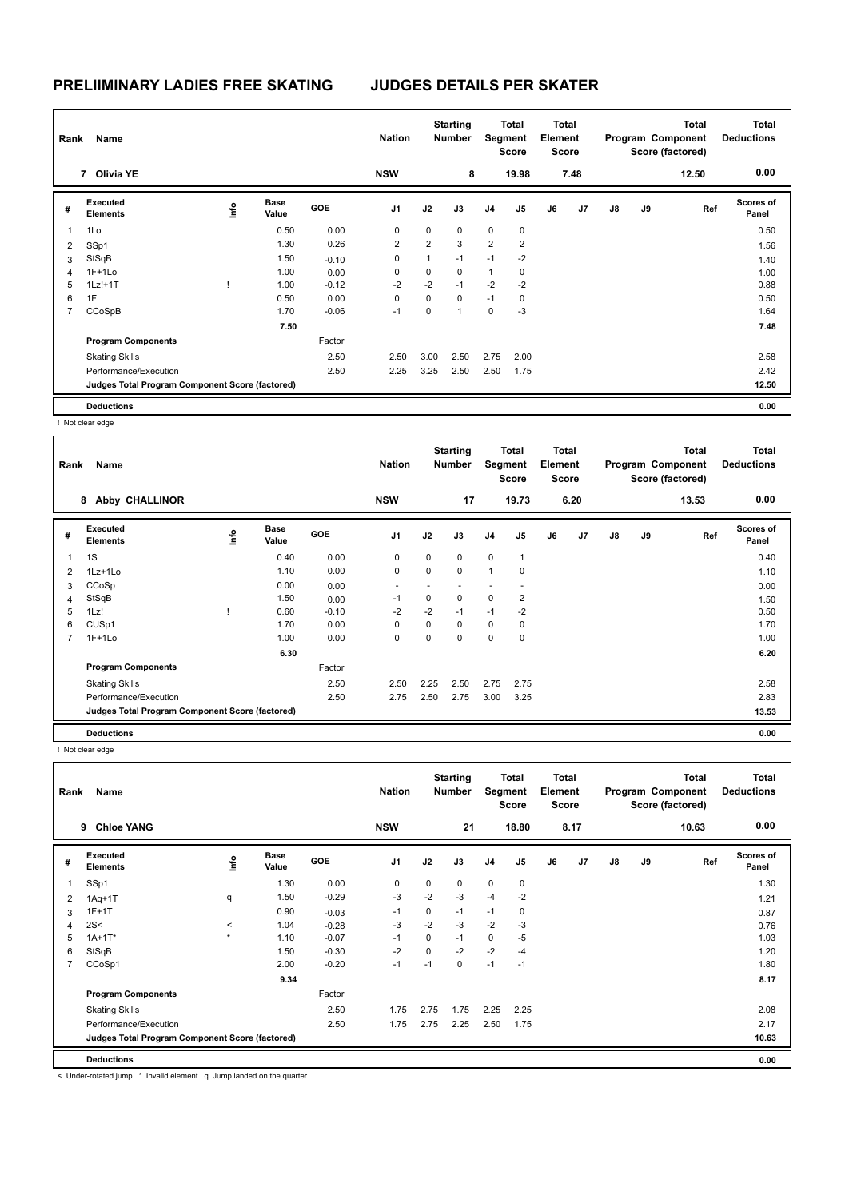| Rank           | Name                                            |      |                      |         | <b>Nation</b>  |                | <b>Starting</b><br><b>Number</b> | Segment        | Total<br><b>Score</b> | <b>Total</b><br>Element<br><b>Score</b> |      |               |    | <b>Total</b><br>Program Component<br>Score (factored) | <b>Total</b><br><b>Deductions</b> |
|----------------|-------------------------------------------------|------|----------------------|---------|----------------|----------------|----------------------------------|----------------|-----------------------|-----------------------------------------|------|---------------|----|-------------------------------------------------------|-----------------------------------|
|                | 7 Olivia YE                                     |      |                      |         | <b>NSW</b>     |                | 8                                |                | 19.98                 |                                         | 7.48 |               |    | 12.50                                                 | 0.00                              |
| #              | Executed<br><b>Elements</b>                     | lnfo | <b>Base</b><br>Value | GOE     | J1             | J2             | J3                               | J <sub>4</sub> | J5                    | J6                                      | J7   | $\mathsf{J}8$ | J9 | Ref                                                   | <b>Scores of</b><br>Panel         |
| $\overline{1}$ | 1Lo                                             |      | 0.50                 | 0.00    | 0              | 0              | $\mathbf 0$                      | $\mathbf 0$    | $\mathbf 0$           |                                         |      |               |    |                                                       | 0.50                              |
| $\overline{2}$ | SSp1                                            |      | 1.30                 | 0.26    | $\overline{2}$ | $\overline{2}$ | 3                                | $\overline{2}$ | $\overline{2}$        |                                         |      |               |    |                                                       | 1.56                              |
| 3              | StSqB                                           |      | 1.50                 | $-0.10$ | 0              | $\mathbf{1}$   | $-1$                             | $-1$           | $-2$                  |                                         |      |               |    |                                                       | 1.40                              |
| 4              | $1F+1Lo$                                        |      | 1.00                 | 0.00    | 0              | 0              | 0                                | 1              | 0                     |                                         |      |               |    |                                                       | 1.00                              |
| 5              | $1Lz!+1T$                                       |      | 1.00                 | $-0.12$ | $-2$           | $-2$           | $-1$                             | $-2$           | $-2$                  |                                         |      |               |    |                                                       | 0.88                              |
| 6              | 1F                                              |      | 0.50                 | 0.00    | 0              | 0              | $\mathbf 0$                      | $-1$           | 0                     |                                         |      |               |    |                                                       | 0.50                              |
| $\overline{7}$ | CCoSpB                                          |      | 1.70                 | $-0.06$ | $-1$           | 0              |                                  | $\mathbf 0$    | $-3$                  |                                         |      |               |    |                                                       | 1.64                              |
|                |                                                 |      | 7.50                 |         |                |                |                                  |                |                       |                                         |      |               |    |                                                       | 7.48                              |
|                | <b>Program Components</b>                       |      |                      | Factor  |                |                |                                  |                |                       |                                         |      |               |    |                                                       |                                   |
|                | <b>Skating Skills</b>                           |      |                      | 2.50    | 2.50           | 3.00           | 2.50                             | 2.75           | 2.00                  |                                         |      |               |    |                                                       | 2.58                              |
|                | Performance/Execution                           |      |                      | 2.50    | 2.25           | 3.25           | 2.50                             | 2.50           | 1.75                  |                                         |      |               |    |                                                       | 2.42                              |
|                | Judges Total Program Component Score (factored) |      |                      |         |                |                |                                  |                |                       |                                         |      |               |    |                                                       | 12.50                             |
|                | <b>Deductions</b>                               |      |                      |         |                |                |                                  |                |                       |                                         |      |               |    |                                                       | 0.00                              |

! Not clear edge

| Rank           | Name                                            |      |                      |            | <b>Nation</b>  |      | <b>Starting</b><br><b>Number</b> |                | <b>Total</b><br>Segment<br><b>Score</b> | Total<br>Element<br><b>Score</b> |                |    |    | <b>Total</b><br>Program Component<br>Score (factored) | <b>Total</b><br><b>Deductions</b> |
|----------------|-------------------------------------------------|------|----------------------|------------|----------------|------|----------------------------------|----------------|-----------------------------------------|----------------------------------|----------------|----|----|-------------------------------------------------------|-----------------------------------|
|                | <b>Abby CHALLINOR</b><br>8                      |      |                      |            | <b>NSW</b>     |      | 17                               |                | 19.73                                   |                                  | 6.20           |    |    | 13.53                                                 | 0.00                              |
| #              | Executed<br><b>Elements</b>                     | lnfo | <b>Base</b><br>Value | <b>GOE</b> | J <sub>1</sub> | J2   | J3                               | J <sub>4</sub> | J5                                      | J6                               | J <sub>7</sub> | J8 | J9 | Ref                                                   | <b>Scores of</b><br>Panel         |
| 1              | 1S                                              |      | 0.40                 | 0.00       | 0              | 0    | $\mathbf 0$                      | $\mathbf 0$    | $\mathbf{1}$                            |                                  |                |    |    |                                                       | 0.40                              |
| 2              | 1Lz+1Lo                                         |      | 1.10                 | 0.00       | 0              | 0    | $\mathbf 0$                      | $\mathbf{1}$   | 0                                       |                                  |                |    |    |                                                       | 1.10                              |
| 3              | CCoSp                                           |      | 0.00                 | 0.00       |                |      |                                  |                |                                         |                                  |                |    |    |                                                       | 0.00                              |
| 4              | StSqB                                           |      | 1.50                 | 0.00       | $-1$           | 0    | $\mathbf 0$                      | $\mathbf 0$    | 2                                       |                                  |                |    |    |                                                       | 1.50                              |
| 5              | 1Lz!                                            |      | 0.60                 | $-0.10$    | $-2$           | $-2$ | $-1$                             | $-1$           | $-2$                                    |                                  |                |    |    |                                                       | 0.50                              |
| 6              | CUSp1                                           |      | 1.70                 | 0.00       | 0              | 0    | $\mathbf 0$                      | $\mathbf 0$    | $\mathbf 0$                             |                                  |                |    |    |                                                       | 1.70                              |
| $\overline{7}$ | $1F+1Lo$                                        |      | 1.00                 | 0.00       | 0              | 0    | $\mathbf 0$                      | $\mathbf 0$    | $\mathbf 0$                             |                                  |                |    |    |                                                       | 1.00                              |
|                |                                                 |      | 6.30                 |            |                |      |                                  |                |                                         |                                  |                |    |    |                                                       | 6.20                              |
|                | <b>Program Components</b>                       |      |                      | Factor     |                |      |                                  |                |                                         |                                  |                |    |    |                                                       |                                   |
|                | <b>Skating Skills</b>                           |      |                      | 2.50       | 2.50           | 2.25 | 2.50                             | 2.75           | 2.75                                    |                                  |                |    |    |                                                       | 2.58                              |
|                | Performance/Execution                           |      |                      | 2.50       | 2.75           | 2.50 | 2.75                             | 3.00           | 3.25                                    |                                  |                |    |    |                                                       | 2.83                              |
|                | Judges Total Program Component Score (factored) |      |                      |            |                |      |                                  |                |                                         |                                  |                |    |    |                                                       | 13.53                             |
|                | <b>Deductions</b>                               |      |                      |            |                |      |                                  |                |                                         |                                  |                |    |    |                                                       | 0.00                              |

! Not clear edge

| Rank | Name<br><b>Chloe YANG</b><br>9                  |            |                      |            |                |          | <b>Starting</b><br><b>Number</b> |                | <b>Total</b><br>Segment<br><b>Score</b> | Total<br>Element<br><b>Score</b> |      |               |    | <b>Total</b><br>Program Component<br>Score (factored) | <b>Total</b><br><b>Deductions</b> |
|------|-------------------------------------------------|------------|----------------------|------------|----------------|----------|----------------------------------|----------------|-----------------------------------------|----------------------------------|------|---------------|----|-------------------------------------------------------|-----------------------------------|
|      |                                                 |            |                      |            | <b>NSW</b>     |          | 21                               |                | 18.80                                   |                                  | 8.17 |               |    | 10.63                                                 | 0.00                              |
| #    | <b>Executed</b><br><b>Elements</b>              | <b>Lin</b> | <b>Base</b><br>Value | <b>GOE</b> | J <sub>1</sub> | J2       | J3                               | J <sub>4</sub> | J5                                      | J6                               | J7   | $\mathsf{J}8$ | J9 | Ref                                                   | Scores of<br>Panel                |
| 1    | SSp1                                            |            | 1.30                 | 0.00       | 0              | $\Omega$ | $\mathbf 0$                      | $\mathbf 0$    | $\mathbf 0$                             |                                  |      |               |    |                                                       | 1.30                              |
| 2    | $1Aq+1T$                                        | q          | 1.50                 | $-0.29$    | $-3$           | $-2$     | $-3$                             | $-4$           | $-2$                                    |                                  |      |               |    |                                                       | 1.21                              |
| 3    | $1F+1T$                                         |            | 0.90                 | $-0.03$    | $-1$           | 0        | $-1$                             | $-1$           | 0                                       |                                  |      |               |    |                                                       | 0.87                              |
| 4    | 2S<                                             | $\prec$    | 1.04                 | $-0.28$    | -3             | $-2$     | $-3$                             | $-2$           | -3                                      |                                  |      |               |    |                                                       | 0.76                              |
| 5    | $1A+1T*$                                        | $\star$    | 1.10                 | $-0.07$    | $-1$           | 0        | $-1$                             | $\mathbf 0$    | $-5$                                    |                                  |      |               |    |                                                       | 1.03                              |
| 6    | StSqB                                           |            | 1.50                 | $-0.30$    | $-2$           | 0        | $-2$                             | $-2$           | -4                                      |                                  |      |               |    |                                                       | 1.20                              |
| 7    | CCoSp1                                          |            | 2.00                 | $-0.20$    | $-1$           | $-1$     | $\mathbf 0$                      | $-1$           | $-1$                                    |                                  |      |               |    |                                                       | 1.80                              |
|      |                                                 |            | 9.34                 |            |                |          |                                  |                |                                         |                                  |      |               |    |                                                       | 8.17                              |
|      | <b>Program Components</b>                       |            |                      | Factor     |                |          |                                  |                |                                         |                                  |      |               |    |                                                       |                                   |
|      | <b>Skating Skills</b>                           |            |                      | 2.50       | 1.75           | 2.75     | 1.75                             | 2.25           | 2.25                                    |                                  |      |               |    |                                                       | 2.08                              |
|      | Performance/Execution                           |            |                      | 2.50       | 1.75           | 2.75     | 2.25                             | 2.50           | 1.75                                    |                                  |      |               |    |                                                       | 2.17                              |
|      | Judges Total Program Component Score (factored) |            |                      |            |                |          |                                  |                |                                         |                                  |      |               |    |                                                       | 10.63                             |
|      | <b>Deductions</b>                               |            |                      |            |                |          |                                  |                |                                         |                                  |      |               |    |                                                       | 0.00                              |

< Under-rotated jump \* Invalid element q Jump landed on the quarter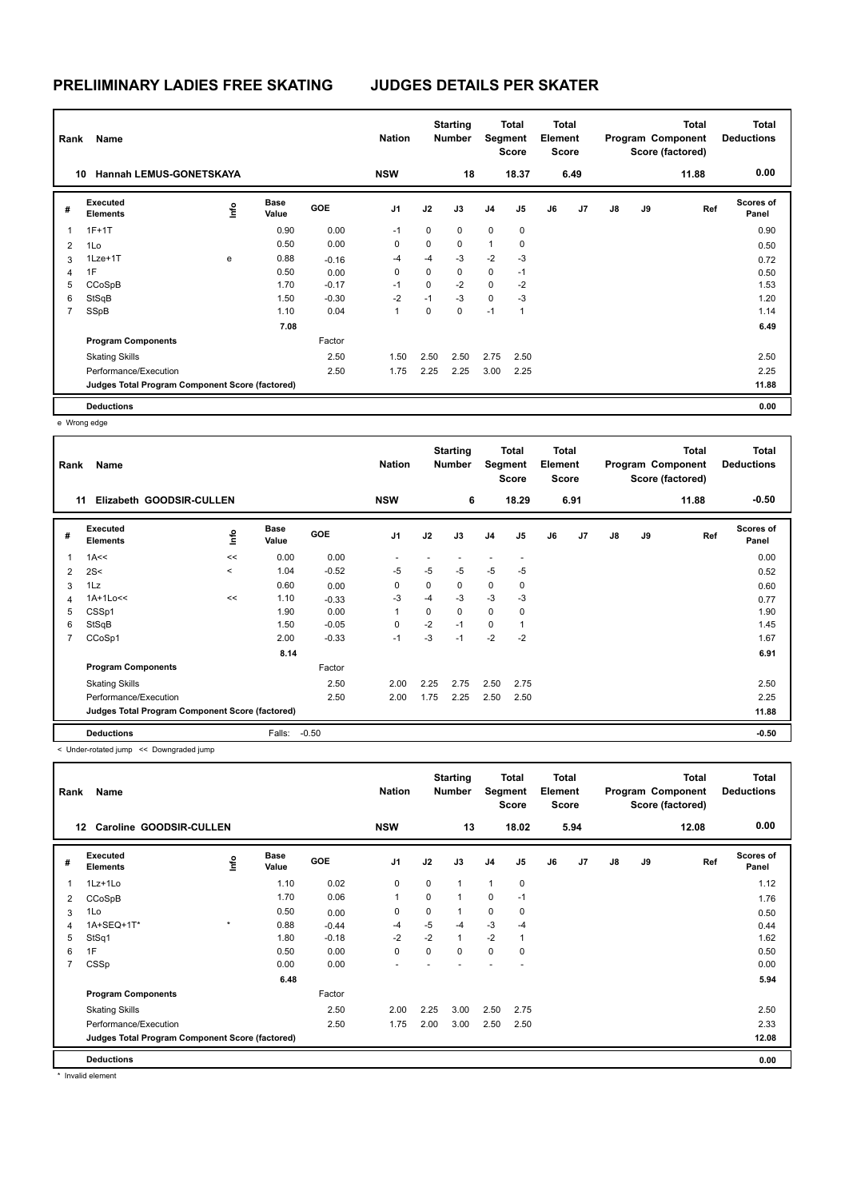| Rank           | Name                                            |      | <b>Nation</b>        |            | <b>Starting</b><br><b>Number</b> |          | <b>Total</b><br>Segment<br><b>Score</b> | <b>Total</b><br>Element<br><b>Score</b> |                |    |      | Total<br>Program Component<br>Score (factored) | <b>Total</b><br><b>Deductions</b> |       |                           |
|----------------|-------------------------------------------------|------|----------------------|------------|----------------------------------|----------|-----------------------------------------|-----------------------------------------|----------------|----|------|------------------------------------------------|-----------------------------------|-------|---------------------------|
|                | <b>Hannah LEMUS-GONETSKAYA</b><br>10            |      |                      |            | <b>NSW</b>                       |          | 18                                      |                                         | 18.37          |    | 6.49 |                                                |                                   | 11.88 | 0.00                      |
| #              | Executed<br><b>Elements</b>                     | lnfo | <b>Base</b><br>Value | <b>GOE</b> | J1                               | J2       | J3                                      | J <sub>4</sub>                          | J <sub>5</sub> | J6 | J7   | J8                                             | J9                                | Ref   | <b>Scores of</b><br>Panel |
| 1              | $1F+1T$                                         |      | 0.90                 | 0.00       | $-1$                             | 0        | 0                                       | $\mathbf 0$                             | 0              |    |      |                                                |                                   |       | 0.90                      |
| 2              | 1Lo                                             |      | 0.50                 | 0.00       | 0                                | 0        | $\mathbf 0$                             | 1                                       | 0              |    |      |                                                |                                   |       | 0.50                      |
| 3              | 1Lze+1T                                         | e    | 0.88                 | $-0.16$    | $-4$                             | $-4$     | $-3$                                    | $-2$                                    | $-3$           |    |      |                                                |                                   |       | 0.72                      |
| 4              | 1F                                              |      | 0.50                 | 0.00       | 0                                | 0        | 0                                       | 0                                       | $-1$           |    |      |                                                |                                   |       | 0.50                      |
| 5              | CCoSpB                                          |      | 1.70                 | $-0.17$    | $-1$                             | $\Omega$ | $-2$                                    | $\mathbf 0$                             | $-2$           |    |      |                                                |                                   |       | 1.53                      |
| 6              | StSqB                                           |      | 1.50                 | $-0.30$    | $-2$                             | $-1$     | $-3$                                    | $\mathbf 0$                             | $-3$           |    |      |                                                |                                   |       | 1.20                      |
| $\overline{7}$ | SSpB                                            |      | 1.10                 | 0.04       | 1                                | 0        | $\mathbf 0$                             | $-1$                                    | 1              |    |      |                                                |                                   |       | 1.14                      |
|                |                                                 |      | 7.08                 |            |                                  |          |                                         |                                         |                |    |      |                                                |                                   |       | 6.49                      |
|                | <b>Program Components</b>                       |      |                      | Factor     |                                  |          |                                         |                                         |                |    |      |                                                |                                   |       |                           |
|                | <b>Skating Skills</b>                           |      |                      | 2.50       | 1.50                             | 2.50     | 2.50                                    | 2.75                                    | 2.50           |    |      |                                                |                                   |       | 2.50                      |
|                | Performance/Execution                           |      |                      | 2.50       | 1.75                             | 2.25     | 2.25                                    | 3.00                                    | 2.25           |    |      |                                                |                                   |       | 2.25                      |
|                | Judges Total Program Component Score (factored) |      |                      |            |                                  |          |                                         |                                         |                |    |      |                                                |                                   |       | 11.88                     |
|                | <b>Deductions</b>                               |      |                      |            |                                  |          |                                         |                                         |                |    |      |                                                |                                   |       | 0.00                      |

e Wrong edge

| Rank | Name                                            |         |                      |            | <b>Nation</b>  |      | <b>Starting</b><br><b>Number</b> | Segment                  | <b>Total</b><br><b>Score</b> | <b>Total</b><br>Element<br><b>Score</b> |      |               |    | <b>Total</b><br>Program Component<br>Score (factored) | Total<br><b>Deductions</b> |
|------|-------------------------------------------------|---------|----------------------|------------|----------------|------|----------------------------------|--------------------------|------------------------------|-----------------------------------------|------|---------------|----|-------------------------------------------------------|----------------------------|
|      | Elizabeth GOODSIR-CULLEN<br>11                  |         |                      |            | <b>NSW</b>     |      | 6                                |                          | 18.29                        |                                         | 6.91 |               |    | 11.88                                                 | $-0.50$                    |
| #    | Executed<br><b>Elements</b>                     | ۴ů      | <b>Base</b><br>Value | <b>GOE</b> | J <sub>1</sub> | J2   | J3                               | J <sub>4</sub>           | J5                           | J6                                      | J7   | $\mathsf{J}8$ | J9 | Ref                                                   | Scores of<br>Panel         |
|      | 1A<<                                            | <<      | 0.00                 | 0.00       |                |      |                                  | $\overline{\phantom{0}}$ | ٠                            |                                         |      |               |    |                                                       | 0.00                       |
| 2    | 2S<                                             | $\,<\,$ | 1.04                 | $-0.52$    | $-5$           | $-5$ | $-5$                             | $-5$                     | $-5$                         |                                         |      |               |    |                                                       | 0.52                       |
| 3    | 1Lz                                             |         | 0.60                 | 0.00       | 0              | 0    | $\mathbf 0$                      | $\mathbf 0$              | 0                            |                                         |      |               |    |                                                       | 0.60                       |
| 4    | 1A+1Lo<<                                        | <<      | 1.10                 | $-0.33$    | $-3$           | $-4$ | $-3$                             | $-3$                     | $-3$                         |                                         |      |               |    |                                                       | 0.77                       |
| 5    | CSSp1                                           |         | 1.90                 | 0.00       | 1              | 0    | 0                                | $\mathbf 0$              | 0                            |                                         |      |               |    |                                                       | 1.90                       |
| 6    | StSqB                                           |         | 1.50                 | $-0.05$    | 0              | $-2$ | $-1$                             | $\mathbf 0$              | 1                            |                                         |      |               |    |                                                       | 1.45                       |
| 7    | CCoSp1                                          |         | 2.00                 | $-0.33$    | $-1$           | $-3$ | $-1$                             | $-2$                     | $-2$                         |                                         |      |               |    |                                                       | 1.67                       |
|      |                                                 |         | 8.14                 |            |                |      |                                  |                          |                              |                                         |      |               |    |                                                       | 6.91                       |
|      | <b>Program Components</b>                       |         |                      | Factor     |                |      |                                  |                          |                              |                                         |      |               |    |                                                       |                            |
|      | <b>Skating Skills</b>                           |         |                      | 2.50       | 2.00           | 2.25 | 2.75                             | 2.50                     | 2.75                         |                                         |      |               |    |                                                       | 2.50                       |
|      | Performance/Execution                           |         |                      | 2.50       | 2.00           | 1.75 | 2.25                             | 2.50                     | 2.50                         |                                         |      |               |    |                                                       | 2.25                       |
|      | Judges Total Program Component Score (factored) |         |                      |            |                |      |                                  |                          |                              |                                         |      |               |    |                                                       | 11.88                      |
|      | <b>Deductions</b>                               |         | Falls:               | $-0.50$    |                |      |                                  |                          |                              |                                         |      |               |    |                                                       | $-0.50$                    |

< Under-rotated jump << Downgraded jump

| Rank           | Name                                            |         |                      |            | <b>Nation</b>  |      | <b>Starting</b><br><b>Number</b> |                | <b>Total</b><br>Segment<br>Score | <b>Total</b><br>Element<br><b>Score</b> |      |    |    | <b>Total</b><br>Program Component<br>Score (factored) | <b>Total</b><br><b>Deductions</b> |
|----------------|-------------------------------------------------|---------|----------------------|------------|----------------|------|----------------------------------|----------------|----------------------------------|-----------------------------------------|------|----|----|-------------------------------------------------------|-----------------------------------|
|                | <b>Caroline GOODSIR-CULLEN</b><br>12            |         |                      |            | <b>NSW</b>     |      | 13                               |                | 18.02                            |                                         | 5.94 |    |    | 12.08                                                 | 0.00                              |
| #              | Executed<br><b>Elements</b>                     | Info    | <b>Base</b><br>Value | <b>GOE</b> | J <sub>1</sub> | J2   | J3                               | J <sub>4</sub> | J5                               | J6                                      | J7   | J8 | J9 | Ref                                                   | Scores of<br>Panel                |
| 1              | $1Lz+1Lo$                                       |         | 1.10                 | 0.02       | 0              | 0    | $\mathbf{1}$                     | $\mathbf{1}$   | 0                                |                                         |      |    |    |                                                       | 1.12                              |
| 2              | CCoSpB                                          |         | 1.70                 | 0.06       | 1              | 0    | $\mathbf{1}$                     | $\mathbf 0$    | $-1$                             |                                         |      |    |    |                                                       | 1.76                              |
| 3              | 1Lo                                             |         | 0.50                 | 0.00       | 0              | 0    | $\mathbf{1}$                     | 0              | $\mathbf 0$                      |                                         |      |    |    |                                                       | 0.50                              |
| 4              | 1A+SEQ+1T*                                      | $\star$ | 0.88                 | $-0.44$    | $-4$           | $-5$ | $-4$                             | $-3$           | $-4$                             |                                         |      |    |    |                                                       | 0.44                              |
| 5              | StSq1                                           |         | 1.80                 | $-0.18$    | $-2$           | $-2$ | $\mathbf{1}$                     | $-2$           | $\overline{1}$                   |                                         |      |    |    |                                                       | 1.62                              |
| 6              | 1F                                              |         | 0.50                 | 0.00       | 0              | 0    | $\mathbf 0$                      | $\mathbf 0$    | $\mathbf 0$                      |                                         |      |    |    |                                                       | 0.50                              |
| $\overline{7}$ | CSSp                                            |         | 0.00                 | 0.00       |                |      |                                  |                | ٠                                |                                         |      |    |    |                                                       | 0.00                              |
|                |                                                 |         | 6.48                 |            |                |      |                                  |                |                                  |                                         |      |    |    |                                                       | 5.94                              |
|                | <b>Program Components</b>                       |         |                      | Factor     |                |      |                                  |                |                                  |                                         |      |    |    |                                                       |                                   |
|                | <b>Skating Skills</b>                           |         |                      | 2.50       | 2.00           | 2.25 | 3.00                             | 2.50           | 2.75                             |                                         |      |    |    |                                                       | 2.50                              |
|                | Performance/Execution                           |         |                      | 2.50       | 1.75           | 2.00 | 3.00                             | 2.50           | 2.50                             |                                         |      |    |    |                                                       | 2.33                              |
|                | Judges Total Program Component Score (factored) |         |                      |            |                |      |                                  |                |                                  |                                         |      |    |    |                                                       | 12.08                             |
|                | <b>Deductions</b>                               |         |                      |            |                |      |                                  |                |                                  |                                         |      |    |    |                                                       | 0.00                              |

\* Invalid element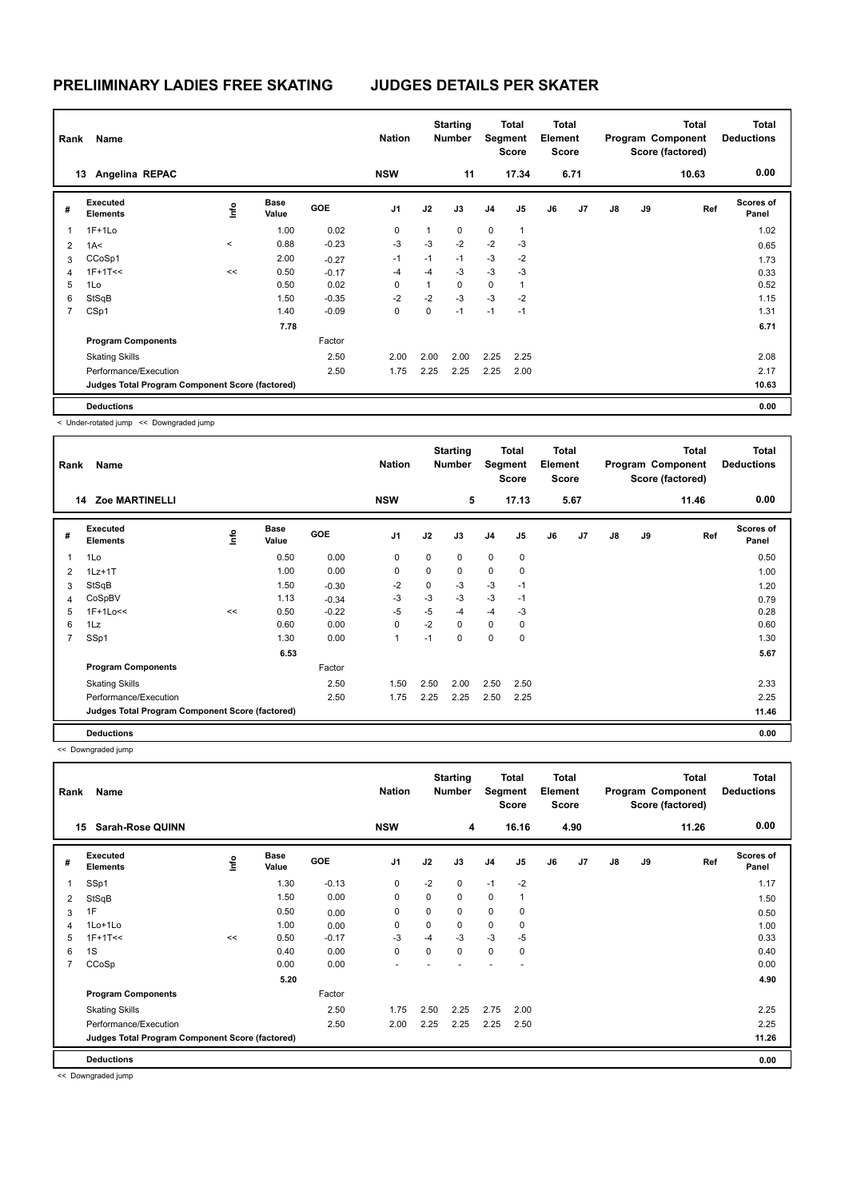| Rank           | Name                                            |         |                      |            | <b>Nation</b>  |                | <b>Starting</b><br><b>Number</b> | Segment        | <b>Total</b><br><b>Score</b> | <b>Total</b><br>Element<br><b>Score</b> |      | Total<br>Program Component<br>Score (factored) |    |       | <b>Total</b><br><b>Deductions</b> |
|----------------|-------------------------------------------------|---------|----------------------|------------|----------------|----------------|----------------------------------|----------------|------------------------------|-----------------------------------------|------|------------------------------------------------|----|-------|-----------------------------------|
|                | Angelina REPAC<br>13                            |         |                      |            | <b>NSW</b>     |                | 11                               |                | 17.34                        |                                         | 6.71 |                                                |    | 10.63 | 0.00                              |
| #              | Executed<br><b>Elements</b>                     | lnfo    | <b>Base</b><br>Value | <b>GOE</b> | J <sub>1</sub> | J2             | J3                               | J <sub>4</sub> | J <sub>5</sub>               | J6                                      | J7   | $\mathsf{J}8$                                  | J9 | Ref   | <b>Scores of</b><br>Panel         |
| 1              | $1F+1Lo$                                        |         | 1.00                 | 0.02       | 0              | $\overline{1}$ | $\mathbf 0$                      | $\mathbf 0$    | $\mathbf{1}$                 |                                         |      |                                                |    |       | 1.02                              |
| $\overline{2}$ | 1A<                                             | $\prec$ | 0.88                 | $-0.23$    | $-3$           | $-3$           | $-2$                             | $-2$           | $-3$                         |                                         |      |                                                |    |       | 0.65                              |
| 3              | CCoSp1                                          |         | 2.00                 | $-0.27$    | $-1$           | $-1$           | $-1$                             | $-3$           | $-2$                         |                                         |      |                                                |    |       | 1.73                              |
| 4              | $1F+1T<<$                                       | <<      | 0.50                 | $-0.17$    | $-4$           | $-4$           | $-3$                             | $-3$           | $-3$                         |                                         |      |                                                |    |       | 0.33                              |
| 5              | 1Lo                                             |         | 0.50                 | 0.02       | $\Omega$       | 1              | $\mathbf 0$                      | 0              | 1                            |                                         |      |                                                |    |       | 0.52                              |
| 6              | StSqB                                           |         | 1.50                 | $-0.35$    | $-2$           | $-2$           | $-3$                             | $-3$           | $-2$                         |                                         |      |                                                |    |       | 1.15                              |
| $\overline{7}$ | CSp1                                            |         | 1.40                 | $-0.09$    | 0              | 0              | $-1$                             | $-1$           | $-1$                         |                                         |      |                                                |    |       | 1.31                              |
|                |                                                 |         | 7.78                 |            |                |                |                                  |                |                              |                                         |      |                                                |    |       | 6.71                              |
|                | <b>Program Components</b>                       |         |                      | Factor     |                |                |                                  |                |                              |                                         |      |                                                |    |       |                                   |
|                | <b>Skating Skills</b>                           |         |                      | 2.50       | 2.00           | 2.00           | 2.00                             | 2.25           | 2.25                         |                                         |      |                                                |    |       | 2.08                              |
|                | Performance/Execution                           |         |                      | 2.50       | 1.75           | 2.25           | 2.25                             | 2.25           | 2.00                         |                                         |      |                                                |    |       | 2.17                              |
|                | Judges Total Program Component Score (factored) |         |                      |            |                |                |                                  |                |                              |                                         |      |                                                |    |       | 10.63                             |
|                | <b>Deductions</b>                               |         |                      |            |                |                |                                  |                |                              |                                         |      |                                                |    |       | 0.00                              |

< Under-rotated jump << Downgraded jump

| Rank           | Name                                            |    |                      |            | <b>Nation</b>  |          | <b>Starting</b><br><b>Number</b> |                | Total<br>Segment<br><b>Score</b> | <b>Total</b><br>Element<br><b>Score</b> |      | <b>Total</b><br>Program Component<br>Score (factored) |    |       | <b>Total</b><br><b>Deductions</b> |
|----------------|-------------------------------------------------|----|----------------------|------------|----------------|----------|----------------------------------|----------------|----------------------------------|-----------------------------------------|------|-------------------------------------------------------|----|-------|-----------------------------------|
|                | <b>Zoe MARTINELLI</b><br>14                     |    |                      |            | <b>NSW</b>     |          | 5                                |                | 17.13                            |                                         | 5.67 |                                                       |    | 11.46 | 0.00                              |
| #              | Executed<br><b>Elements</b>                     | ۴٥ | <b>Base</b><br>Value | <b>GOE</b> | J <sub>1</sub> | J2       | J3                               | J <sub>4</sub> | J <sub>5</sub>                   | J6                                      | J7   | $\mathsf{J}8$                                         | J9 | Ref   | Scores of<br>Panel                |
| 1              | 1Lo                                             |    | 0.50                 | 0.00       | 0              | 0        | 0                                | $\mathbf 0$    | $\mathbf 0$                      |                                         |      |                                                       |    |       | 0.50                              |
| 2              | $1Lz+1T$                                        |    | 1.00                 | 0.00       | $\mathbf 0$    | $\Omega$ | 0                                | $\mathbf 0$    | 0                                |                                         |      |                                                       |    |       | 1.00                              |
| 3              | StSqB                                           |    | 1.50                 | $-0.30$    | $-2$           | 0        | $-3$                             | $-3$           | $-1$                             |                                         |      |                                                       |    |       | 1.20                              |
| 4              | CoSpBV                                          |    | 1.13                 | $-0.34$    | -3             | $-3$     | $-3$                             | $-3$           | $-1$                             |                                         |      |                                                       |    |       | 0.79                              |
| 5              | $1F+1Lo<<$                                      | << | 0.50                 | $-0.22$    | $-5$           | $-5$     | $-4$                             | $-4$           | $-3$                             |                                         |      |                                                       |    |       | 0.28                              |
| 6              | 1Lz                                             |    | 0.60                 | 0.00       | $\mathbf 0$    | $-2$     | $\Omega$                         | $\mathbf 0$    | $\pmb{0}$                        |                                         |      |                                                       |    |       | 0.60                              |
| $\overline{7}$ | SSp1                                            |    | 1.30                 | 0.00       | 1              | $-1$     | 0                                | 0              | 0                                |                                         |      |                                                       |    |       | 1.30                              |
|                |                                                 |    | 6.53                 |            |                |          |                                  |                |                                  |                                         |      |                                                       |    |       | 5.67                              |
|                | <b>Program Components</b>                       |    |                      | Factor     |                |          |                                  |                |                                  |                                         |      |                                                       |    |       |                                   |
|                | <b>Skating Skills</b>                           |    |                      | 2.50       | 1.50           | 2.50     | 2.00                             | 2.50           | 2.50                             |                                         |      |                                                       |    |       | 2.33                              |
|                | Performance/Execution                           |    |                      | 2.50       | 1.75           | 2.25     | 2.25                             | 2.50           | 2.25                             |                                         |      |                                                       |    |       | 2.25                              |
|                | Judges Total Program Component Score (factored) |    |                      |            |                |          |                                  |                |                                  |                                         |      |                                                       |    |       | 11.46                             |
|                | <b>Deductions</b>                               |    |                      |            |                |          |                                  |                |                                  |                                         |      |                                                       |    |       | 0.00                              |

<< Downgraded jump

| Rank | Name                                            |    |                      |            | <b>Nation</b>  |      | <b>Starting</b><br><b>Number</b> | Segment        | <b>Total</b><br><b>Score</b> | <b>Total</b><br>Element<br>Score |                |               |    | <b>Total</b><br>Program Component<br>Score (factored) | <b>Total</b><br><b>Deductions</b> |
|------|-------------------------------------------------|----|----------------------|------------|----------------|------|----------------------------------|----------------|------------------------------|----------------------------------|----------------|---------------|----|-------------------------------------------------------|-----------------------------------|
|      | <b>Sarah-Rose QUINN</b><br>15                   |    |                      |            | <b>NSW</b>     |      | 4                                |                | 16.16                        |                                  | 4.90           |               |    | 11.26                                                 | 0.00                              |
| #    | Executed<br><b>Elements</b>                     | ۴  | <b>Base</b><br>Value | <b>GOE</b> | J <sub>1</sub> | J2   | J3                               | J <sub>4</sub> | J <sub>5</sub>               | J6                               | J <sub>7</sub> | $\mathsf{J}8$ | J9 | Ref                                                   | Scores of<br>Panel                |
| -1   | SSp1                                            |    | 1.30                 | $-0.13$    | 0              | $-2$ | 0                                | $-1$           | $-2$                         |                                  |                |               |    |                                                       | 1.17                              |
| 2    | StSqB                                           |    | 1.50                 | 0.00       | $\mathbf 0$    | 0    | 0                                | $\mathbf 0$    | 1                            |                                  |                |               |    |                                                       | 1.50                              |
| 3    | 1F                                              |    | 0.50                 | 0.00       | 0              | 0    | 0                                | 0              | 0                            |                                  |                |               |    |                                                       | 0.50                              |
| 4    | 1Lo+1Lo                                         |    | 1.00                 | 0.00       | 0              | 0    | 0                                | $\mathbf 0$    | 0                            |                                  |                |               |    |                                                       | 1.00                              |
| 5    | $1F+1T<<$                                       | << | 0.50                 | $-0.17$    | $-3$           | $-4$ | $-3$                             | $-3$           | $-5$                         |                                  |                |               |    |                                                       | 0.33                              |
| 6    | 1S                                              |    | 0.40                 | 0.00       | 0              | 0    | 0                                | $\mathbf 0$    | 0                            |                                  |                |               |    |                                                       | 0.40                              |
| 7    | CCoSp                                           |    | 0.00                 | 0.00       |                |      |                                  |                |                              |                                  |                |               |    |                                                       | 0.00                              |
|      |                                                 |    | 5.20                 |            |                |      |                                  |                |                              |                                  |                |               |    |                                                       | 4.90                              |
|      | <b>Program Components</b>                       |    |                      | Factor     |                |      |                                  |                |                              |                                  |                |               |    |                                                       |                                   |
|      | <b>Skating Skills</b>                           |    |                      | 2.50       | 1.75           | 2.50 | 2.25                             | 2.75           | 2.00                         |                                  |                |               |    |                                                       | 2.25                              |
|      | Performance/Execution                           |    |                      | 2.50       | 2.00           | 2.25 | 2.25                             | 2.25           | 2.50                         |                                  |                |               |    |                                                       | 2.25                              |
|      | Judges Total Program Component Score (factored) |    |                      |            |                |      |                                  |                |                              |                                  |                |               |    |                                                       | 11.26                             |
|      | <b>Deductions</b>                               |    |                      |            |                |      |                                  |                |                              |                                  |                |               |    |                                                       | 0.00                              |

<< Downgraded jump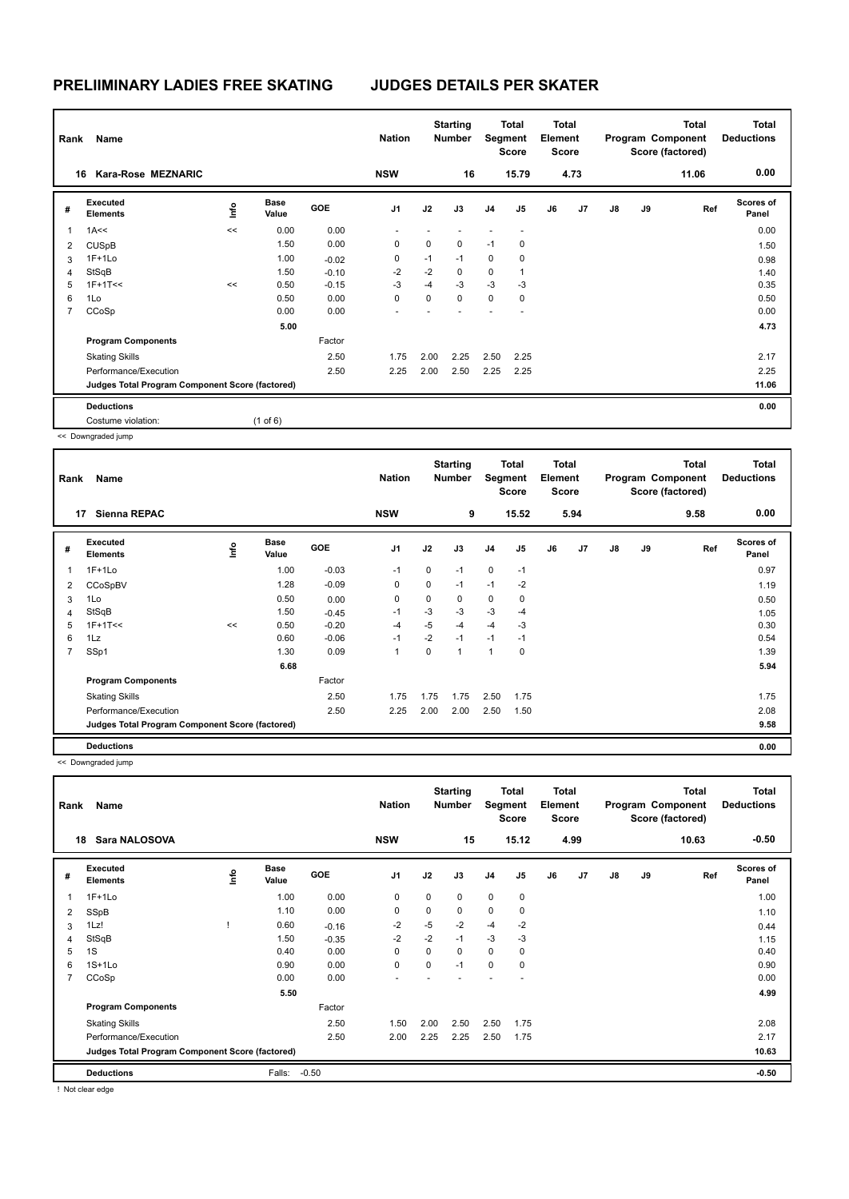| Rank           | Name                                            |    |                      |         |                |      | <b>Nation</b> |                | <b>Starting</b><br><b>Number</b> | Segment | <b>Total</b><br><b>Score</b> | Total<br>Element<br><b>Score</b> |    |       |                           | <b>Total</b><br>Program Component<br>Score (factored) | <b>Total</b><br><b>Deductions</b> |
|----------------|-------------------------------------------------|----|----------------------|---------|----------------|------|---------------|----------------|----------------------------------|---------|------------------------------|----------------------------------|----|-------|---------------------------|-------------------------------------------------------|-----------------------------------|
|                | Kara-Rose MEZNARIC<br>16                        |    |                      |         | <b>NSW</b>     |      | 16            |                | 15.79                            |         | 4.73                         |                                  |    | 11.06 | 0.00                      |                                                       |                                   |
| #              | Executed<br><b>Elements</b>                     | e  | <b>Base</b><br>Value | GOE     | J <sub>1</sub> | J2   | J3            | J <sub>4</sub> | J5                               | J6      | J7                           | J8                               | J9 | Ref   | <b>Scores of</b><br>Panel |                                                       |                                   |
| 1              | 1A<<                                            | << | 0.00                 | 0.00    |                |      |               |                |                                  |         |                              |                                  |    |       | 0.00                      |                                                       |                                   |
| 2              | <b>CUSpB</b>                                    |    | 1.50                 | 0.00    | 0              | 0    | $\mathbf 0$   | $-1$           | 0                                |         |                              |                                  |    |       | 1.50                      |                                                       |                                   |
| 3              | $1F+1Lo$                                        |    | 1.00                 | $-0.02$ | 0              | $-1$ | $-1$          | 0              | 0                                |         |                              |                                  |    |       | 0.98                      |                                                       |                                   |
| 4              | StSqB                                           |    | 1.50                 | $-0.10$ | $-2$           | $-2$ | $\mathbf 0$   | 0              | $\overline{1}$                   |         |                              |                                  |    |       | 1.40                      |                                                       |                                   |
| 5              | $1F+1T<<$                                       | << | 0.50                 | $-0.15$ | $-3$           | $-4$ | $-3$          | $-3$           | $-3$                             |         |                              |                                  |    |       | 0.35                      |                                                       |                                   |
| 6              | 1Lo                                             |    | 0.50                 | 0.00    | 0              | 0    | $\mathbf 0$   | 0              | 0                                |         |                              |                                  |    |       | 0.50                      |                                                       |                                   |
| $\overline{7}$ | CCoSp                                           |    | 0.00                 | 0.00    |                |      |               |                |                                  |         |                              |                                  |    |       | 0.00                      |                                                       |                                   |
|                |                                                 |    | 5.00                 |         |                |      |               |                |                                  |         |                              |                                  |    |       | 4.73                      |                                                       |                                   |
|                | <b>Program Components</b>                       |    |                      | Factor  |                |      |               |                |                                  |         |                              |                                  |    |       |                           |                                                       |                                   |
|                | <b>Skating Skills</b>                           |    |                      | 2.50    | 1.75           | 2.00 | 2.25          | 2.50           | 2.25                             |         |                              |                                  |    |       | 2.17                      |                                                       |                                   |
|                | Performance/Execution                           |    |                      | 2.50    | 2.25           | 2.00 | 2.50          | 2.25           | 2.25                             |         |                              |                                  |    |       | 2.25                      |                                                       |                                   |
|                | Judges Total Program Component Score (factored) |    |                      |         |                |      |               |                |                                  |         |                              |                                  |    |       | 11.06                     |                                                       |                                   |
|                | <b>Deductions</b>                               |    |                      |         |                |      |               |                |                                  |         |                              |                                  |    |       | 0.00                      |                                                       |                                   |
|                | Costume violation:                              |    | $(1$ of 6)           |         |                |      |               |                |                                  |         |                              |                                  |    |       |                           |                                                       |                                   |

<< Downgraded jump

| Rank           | Name                                            |    |                      | <b>Nation</b> |                | <b>Starting</b><br><b>Number</b> |      | Total<br>Segment<br><b>Score</b> | Total<br>Element<br><b>Score</b> |    |      |               | <b>Total</b><br>Program Component<br>Score (factored) | <b>Total</b><br><b>Deductions</b> |                           |
|----------------|-------------------------------------------------|----|----------------------|---------------|----------------|----------------------------------|------|----------------------------------|----------------------------------|----|------|---------------|-------------------------------------------------------|-----------------------------------|---------------------------|
| 17             | <b>Sienna REPAC</b>                             |    |                      |               | <b>NSW</b>     |                                  | 9    |                                  | 15.52                            |    | 5.94 |               |                                                       | 9.58                              | 0.00                      |
| #              | Executed<br><b>Elements</b>                     | ۴ů | <b>Base</b><br>Value | <b>GOE</b>    | J <sub>1</sub> | J2                               | J3   | J <sub>4</sub>                   | J <sub>5</sub>                   | J6 | J7   | $\mathsf{J}8$ | J9                                                    | Ref                               | <b>Scores of</b><br>Panel |
| 1              | $1F+1Lo$                                        |    | 1.00                 | $-0.03$       | $-1$           | 0                                | $-1$ | $\mathbf 0$                      | $-1$                             |    |      |               |                                                       |                                   | 0.97                      |
| $\overline{2}$ | CCoSpBV                                         |    | 1.28                 | $-0.09$       | $\mathbf 0$    | 0                                | $-1$ | $-1$                             | $-2$                             |    |      |               |                                                       |                                   | 1.19                      |
| 3              | 1Lo                                             |    | 0.50                 | 0.00          | $\mathbf 0$    | 0                                | 0    | 0                                | 0                                |    |      |               |                                                       |                                   | 0.50                      |
| $\overline{4}$ | StSqB                                           |    | 1.50                 | $-0.45$       | $-1$           | $-3$                             | $-3$ | $-3$                             | $-4$                             |    |      |               |                                                       |                                   | 1.05                      |
| 5              | $1F+1T<<$                                       | << | 0.50                 | $-0.20$       | $-4$           | $-5$                             | -4   | $-4$                             | $-3$                             |    |      |               |                                                       |                                   | 0.30                      |
| 6              | 1Lz                                             |    | 0.60                 | $-0.06$       | $-1$           | $-2$                             | $-1$ | $-1$                             | $-1$                             |    |      |               |                                                       |                                   | 0.54                      |
| $\overline{7}$ | SSp1                                            |    | 1.30                 | 0.09          | -1             | 0                                | 1    | $\overline{1}$                   | 0                                |    |      |               |                                                       |                                   | 1.39                      |
|                |                                                 |    | 6.68                 |               |                |                                  |      |                                  |                                  |    |      |               |                                                       |                                   | 5.94                      |
|                | <b>Program Components</b>                       |    |                      | Factor        |                |                                  |      |                                  |                                  |    |      |               |                                                       |                                   |                           |
|                | <b>Skating Skills</b>                           |    |                      | 2.50          | 1.75           | 1.75                             | 1.75 | 2.50                             | 1.75                             |    |      |               |                                                       |                                   | 1.75                      |
|                | Performance/Execution                           |    |                      | 2.50          | 2.25           | 2.00                             | 2.00 | 2.50                             | 1.50                             |    |      |               |                                                       |                                   | 2.08                      |
|                | Judges Total Program Component Score (factored) |    |                      |               |                |                                  |      |                                  |                                  |    |      |               |                                                       |                                   | 9.58                      |
|                | <b>Deductions</b>                               |    |                      |               |                |                                  |      |                                  |                                  |    |      |               |                                                       |                                   | 0.00                      |

<< Downgraded jump

| Rank           | Name                                            |    |                      |            | <b>Nation</b>  |      | <b>Starting</b><br><b>Number</b> |                | <b>Total</b><br>Segment<br><b>Score</b> | <b>Total</b><br>Element<br><b>Score</b> |                | Total<br>Program Component<br>Score (factored) |    |       | <b>Total</b><br><b>Deductions</b> |
|----------------|-------------------------------------------------|----|----------------------|------------|----------------|------|----------------------------------|----------------|-----------------------------------------|-----------------------------------------|----------------|------------------------------------------------|----|-------|-----------------------------------|
|                | Sara NALOSOVA<br>18                             |    |                      |            | <b>NSW</b>     |      | 15                               |                | 15.12                                   |                                         | 4.99           |                                                |    | 10.63 | $-0.50$                           |
| #              | Executed<br><b>Elements</b>                     | ۴٥ | <b>Base</b><br>Value | <b>GOE</b> | J <sub>1</sub> | J2   | J3                               | J <sub>4</sub> | J <sub>5</sub>                          | J6                                      | J <sub>7</sub> | $\mathsf{J}8$                                  | J9 | Ref   | <b>Scores of</b><br>Panel         |
| 1              | $1F+1Lo$                                        |    | 1.00                 | 0.00       | 0              | 0    | $\mathbf 0$                      | $\mathbf 0$    | $\mathbf 0$                             |                                         |                |                                                |    |       | 1.00                              |
| 2              | SSpB                                            |    | 1.10                 | 0.00       | 0              | 0    | 0                                | 0              | 0                                       |                                         |                |                                                |    |       | 1.10                              |
| 3              | 1Lz!                                            |    | 0.60                 | $-0.16$    | $-2$           | $-5$ | $-2$                             | $-4$           | $-2$                                    |                                         |                |                                                |    |       | 0.44                              |
| $\overline{4}$ | StSqB                                           |    | 1.50                 | $-0.35$    | $-2$           | $-2$ | $-1$                             | $-3$           | $-3$                                    |                                         |                |                                                |    |       | 1.15                              |
| 5              | 1S                                              |    | 0.40                 | 0.00       | 0              | 0    | $\mathbf 0$                      | 0              | 0                                       |                                         |                |                                                |    |       | 0.40                              |
| 6              | $1S+1Lo$                                        |    | 0.90                 | 0.00       | $\Omega$       | 0    | $-1$                             | 0              | 0                                       |                                         |                |                                                |    |       | 0.90                              |
| $\overline{7}$ | CCoSp                                           |    | 0.00                 | 0.00       |                |      |                                  |                | ٠                                       |                                         |                |                                                |    |       | 0.00                              |
|                |                                                 |    | 5.50                 |            |                |      |                                  |                |                                         |                                         |                |                                                |    |       | 4.99                              |
|                | <b>Program Components</b>                       |    |                      | Factor     |                |      |                                  |                |                                         |                                         |                |                                                |    |       |                                   |
|                | <b>Skating Skills</b>                           |    |                      | 2.50       | 1.50           | 2.00 | 2.50                             | 2.50           | 1.75                                    |                                         |                |                                                |    |       | 2.08                              |
|                | Performance/Execution                           |    |                      | 2.50       | 2.00           | 2.25 | 2.25                             | 2.50           | 1.75                                    |                                         |                |                                                |    |       | 2.17                              |
|                | Judges Total Program Component Score (factored) |    |                      |            |                |      |                                  |                |                                         |                                         |                |                                                |    |       | 10.63                             |
|                | <b>Deductions</b>                               |    | Falls:               | $-0.50$    |                |      |                                  |                |                                         |                                         |                |                                                |    |       | $-0.50$                           |
| .              |                                                 |    |                      |            |                |      |                                  |                |                                         |                                         |                |                                                |    |       |                                   |

! Not clear edge